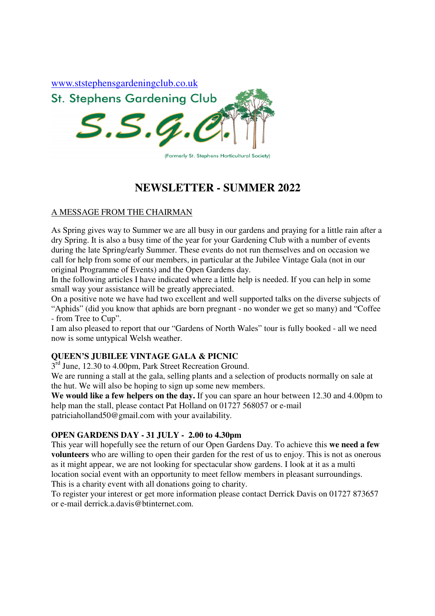

# **NEWSLETTER - SUMMER 2022**

## A MESSAGE FROM THE CHAIRMAN

As Spring gives way to Summer we are all busy in our gardens and praying for a little rain after a dry Spring. It is also a busy time of the year for your Gardening Club with a number of events during the late Spring/early Summer. These events do not run themselves and on occasion we call for help from some of our members, in particular at the Jubilee Vintage Gala (not in our original Programme of Events) and the Open Gardens day.

In the following articles I have indicated where a little help is needed. If you can help in some small way your assistance will be greatly appreciated.

On a positive note we have had two excellent and well supported talks on the diverse subjects of "Aphids" (did you know that aphids are born pregnant - no wonder we get so many) and "Coffee - from Tree to Cup".

I am also pleased to report that our "Gardens of North Wales" tour is fully booked - all we need now is some untypical Welsh weather.

# **QUEEN'S JUBILEE VINTAGE GALA & PICNIC**

 $3^{rd}$  June, 12.30 to 4.00pm, Park Street Recreation Ground.

We are running a stall at the gala, selling plants and a selection of products normally on sale at the hut. We will also be hoping to sign up some new members.

**We would like a few helpers on the day.** If you can spare an hour between 12.30 and 4.00pm to help man the stall, please contact Pat Holland on 01727 568057 or e-mail patriciaholland50@gmail.com with your availability.

## **OPEN GARDENS DAY - 31 JULY - 2.00 to 4.30pm**

This year will hopefully see the return of our Open Gardens Day. To achieve this **we need a few volunteers** who are willing to open their garden for the rest of us to enjoy. This is not as onerous as it might appear, we are not looking for spectacular show gardens. I look at it as a multi location social event with an opportunity to meet fellow members in pleasant surroundings. This is a charity event with all donations going to charity.

To register your interest or get more information please contact Derrick Davis on 01727 873657 or e-mail derrick.a.davis@btinternet.com.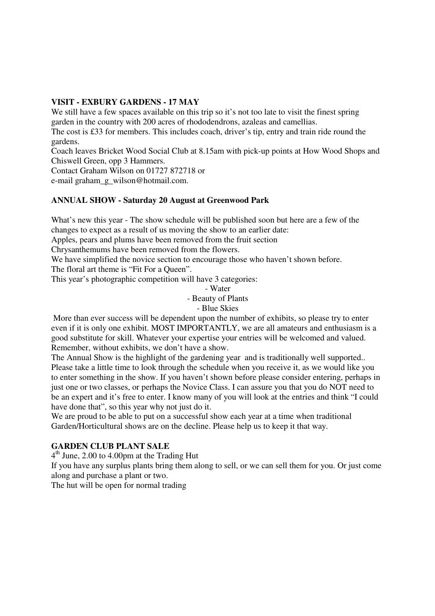#### **VISIT - EXBURY GARDENS - 17 MAY**

We still have a few spaces available on this trip so it's not too late to visit the finest spring garden in the country with 200 acres of rhododendrons, azaleas and camellias.

The cost is £33 for members. This includes coach, driver's tip, entry and train ride round the gardens.

Coach leaves Bricket Wood Social Club at 8.15am with pick-up points at How Wood Shops and Chiswell Green, opp 3 Hammers.

Contact Graham Wilson on 01727 872718 or

e-mail graham\_g\_wilson@hotmail.com.

#### **ANNUAL SHOW - Saturday 20 August at Greenwood Park**

What's new this year - The show schedule will be published soon but here are a few of the changes to expect as a result of us moving the show to an earlier date:

Apples, pears and plums have been removed from the fruit section

Chrysanthemums have been removed from the flowers.

We have simplified the novice section to encourage those who haven't shown before.

The floral art theme is "Fit For a Queen".

This year's photographic competition will have 3 categories:

- Water

- Beauty of Plants

- Blue Skies

 More than ever success will be dependent upon the number of exhibits, so please try to enter even if it is only one exhibit. MOST IMPORTANTLY, we are all amateurs and enthusiasm is a good substitute for skill. Whatever your expertise your entries will be welcomed and valued. Remember, without exhibits, we don't have a show.

The Annual Show is the highlight of the gardening year and is traditionally well supported.. Please take a little time to look through the schedule when you receive it, as we would like you to enter something in the show. If you haven't shown before please consider entering, perhaps in just one or two classes, or perhaps the Novice Class. I can assure you that you do NOT need to be an expert and it's free to enter. I know many of you will look at the entries and think "I could have done that", so this year why not just do it.

We are proud to be able to put on a successful show each year at a time when traditional Garden/Horticultural shows are on the decline. Please help us to keep it that way.

#### **GARDEN CLUB PLANT SALE**

4<sup>th</sup> June, 2.00 to 4.00pm at the Trading Hut

If you have any surplus plants bring them along to sell, or we can sell them for you. Or just come along and purchase a plant or two.

The hut will be open for normal trading